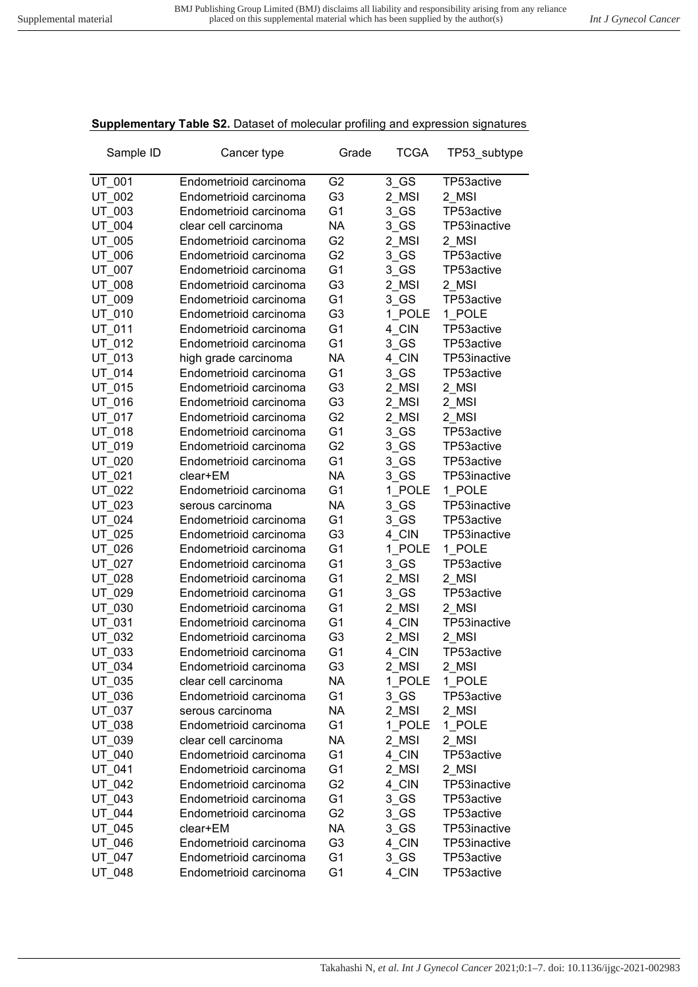## **Supplementary Table S2.** Dataset of molecular profiling and expression signatures

| Sample ID | Cancer type            | Grade          | <b>TCGA</b> | TP53_subtype |
|-----------|------------------------|----------------|-------------|--------------|
| UT 001    | Endometrioid carcinoma | G <sub>2</sub> | $3$ GS      | TP53active   |
| UT_002    | Endometrioid carcinoma | G <sub>3</sub> | 2 MSI       | 2_MSI        |
| UT 003    | Endometrioid carcinoma | G <sub>1</sub> | $3$ GS      | TP53active   |
| UT 004    | clear cell carcinoma   | <b>NA</b>      | $3$ GS      | TP53inactive |
| UT_005    | Endometrioid carcinoma | G <sub>2</sub> | 2 MSI       | 2_MSI        |
| UT 006    | Endometrioid carcinoma | G <sub>2</sub> | $3$ GS      | TP53active   |
| UT_007    | Endometrioid carcinoma | G <sub>1</sub> | $3$ GS      | TP53active   |
| UT_008    | Endometrioid carcinoma | G <sub>3</sub> | 2 MSI       | 2 MSI        |
| UT_009    | Endometrioid carcinoma | G <sub>1</sub> | 3 GS        | TP53active   |
| UT_010    | Endometrioid carcinoma | G <sub>3</sub> | 1 POLE      | 1 POLE       |
| UT_011    | Endometrioid carcinoma | G <sub>1</sub> | 4 CIN       | TP53active   |
| UT_012    | Endometrioid carcinoma | G <sub>1</sub> | $3$ GS      | TP53active   |
| UT 013    | high grade carcinoma   | <b>NA</b>      | 4 CIN       | TP53inactive |
| UT 014    | Endometrioid carcinoma | G <sub>1</sub> | $3$ GS      | TP53active   |
| UT 015    | Endometrioid carcinoma | G <sub>3</sub> | 2_MSI       | 2 MSI        |
| UT 016    | Endometrioid carcinoma | G <sub>3</sub> | 2 MSI       | 2 MSI        |
| UT_017    | Endometrioid carcinoma | G <sub>2</sub> | 2_MSI       | 2_MSI        |
| UT_018    | Endometrioid carcinoma | G <sub>1</sub> | $3$ GS      | TP53active   |
| UT_019    | Endometrioid carcinoma | G <sub>2</sub> | 3 GS        | TP53active   |
| UT_020    | Endometrioid carcinoma | G <sub>1</sub> | $3$ GS      | TP53active   |
| UT_021    | clear+EM               | <b>NA</b>      | $3$ GS      | TP53inactive |
| UT_022    | Endometrioid carcinoma | G <sub>1</sub> | 1 POLE      | 1 POLE       |
| UT_023    | serous carcinoma       | <b>NA</b>      | $3$ GS      | TP53inactive |
| UT 024    | Endometrioid carcinoma | G <sub>1</sub> | $3$ GS      | TP53active   |
| UT 025    | Endometrioid carcinoma | G <sub>3</sub> | 4_CIN       | TP53inactive |
| UT_026    | Endometrioid carcinoma | G <sub>1</sub> | 1 POLE      | 1 POLE       |
| UT 027    | Endometrioid carcinoma | G <sub>1</sub> | $3$ GS      | TP53active   |
| UT 028    | Endometrioid carcinoma | G <sub>1</sub> | 2_MSI       | 2_MSI        |
| UT_029    | Endometrioid carcinoma | G <sub>1</sub> | $3$ GS      | TP53active   |
| UT_030    | Endometrioid carcinoma | G <sub>1</sub> | 2 MSI       | 2 MSI        |
| UT_031    | Endometrioid carcinoma | G <sub>1</sub> | 4_CIN       | TP53inactive |
| UT_032    | Endometrioid carcinoma | G3             | 2 MSI       | 2_MSI        |
| UT_033    | Endometrioid carcinoma | G <sub>1</sub> | 4_CIN       | TP53active   |
| UT_034    | Endometrioid carcinoma | G <sub>3</sub> | 2_MSI       | 2_MSI        |
| UT_035    | clear cell carcinoma   | NA             | 1 POLE      | 1_POLE       |
| UT 036    | Endometrioid carcinoma | G <sub>1</sub> | $3$ GS      | TP53active   |
| UT 037    | serous carcinoma       | <b>NA</b>      | 2 MSI       | 2 MSI        |
| UT 038    | Endometrioid carcinoma | G <sub>1</sub> | 1_POLE      | 1 POLE       |
| UT 039    | clear cell carcinoma   | <b>NA</b>      | 2 MSI       | 2 MSI        |
| UT_040    | Endometrioid carcinoma | G <sub>1</sub> | 4 CIN       | TP53active   |
| UT_041    | Endometrioid carcinoma | G <sub>1</sub> | 2 MSI       | 2 MSI        |
| UT_042    | Endometrioid carcinoma | G <sub>2</sub> | 4 CIN       | TP53inactive |
| UT_043    | Endometrioid carcinoma | G <sub>1</sub> | $3$ GS      | TP53active   |
| UT_044    | Endometrioid carcinoma | G <sub>2</sub> | $3$ GS      | TP53active   |
| UT_045    | clear+EM               | <b>NA</b>      | $3$ GS      | TP53inactive |
| UT 046    | Endometrioid carcinoma | G <sub>3</sub> | 4_CIN       | TP53inactive |
| UT 047    | Endometrioid carcinoma | G <sub>1</sub> | $3$ GS      | TP53active   |
| UT 048    | Endometrioid carcinoma | G <sub>1</sub> | 4_CIN       | TP53active   |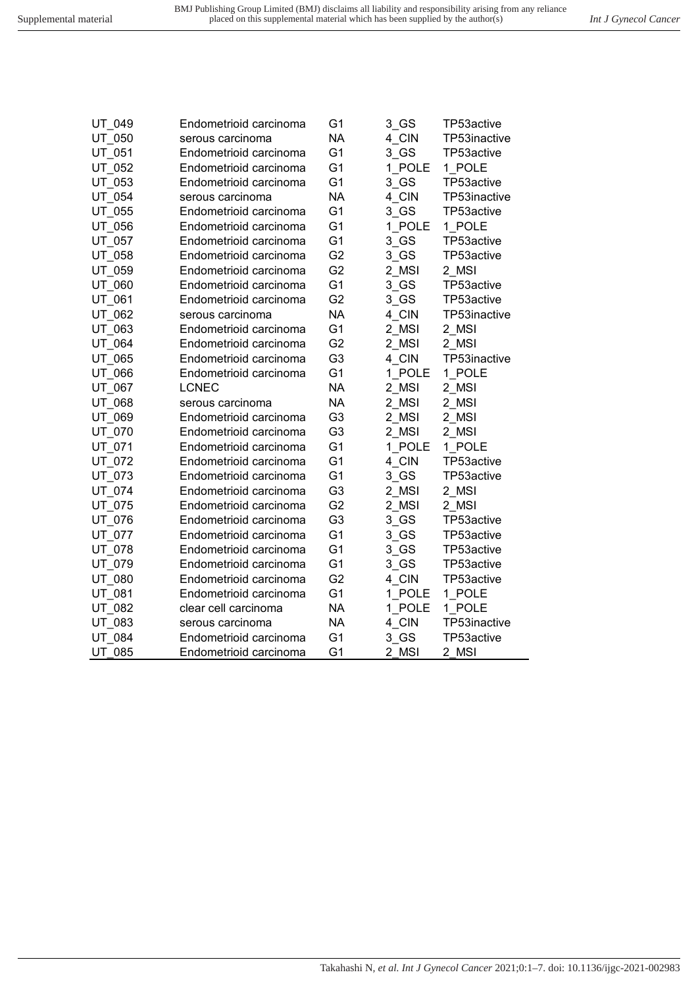| UT 049 | Endometrioid carcinoma | G <sub>1</sub> | 3 GS   | TP53active   |
|--------|------------------------|----------------|--------|--------------|
| UT 050 | serous carcinoma       | <b>NA</b>      | 4 CIN  | TP53inactive |
| UT 051 | Endometrioid carcinoma | G <sub>1</sub> | $3$ GS | TP53active   |
| UT 052 | Endometrioid carcinoma | G <sub>1</sub> | 1 POLE | 1 POLE       |
| UT 053 | Endometrioid carcinoma | G <sub>1</sub> | 3 GS   | TP53active   |
| UT 054 | serous carcinoma       | <b>NA</b>      | 4 CIN  | TP53inactive |
| UT 055 | Endometrioid carcinoma | G <sub>1</sub> | 3 GS   | TP53active   |
| UT 056 | Endometrioid carcinoma | G <sub>1</sub> | 1 POLE | 1 POLE       |
| UT 057 | Endometrioid carcinoma | G <sub>1</sub> | 3 GS   | TP53active   |
| UT 058 | Endometrioid carcinoma | G <sub>2</sub> | 3 GS   | TP53active   |
| UT 059 | Endometrioid carcinoma | G <sub>2</sub> | 2 MSI  | 2 MSI        |
| UT 060 | Endometrioid carcinoma | G <sub>1</sub> | $3$ GS | TP53active   |
| UT 061 | Endometrioid carcinoma | G <sub>2</sub> | $3$ GS | TP53active   |
| UT 062 | serous carcinoma       | <b>NA</b>      | 4 CIN  | TP53inactive |
| UT 063 | Endometrioid carcinoma | G <sub>1</sub> | 2 MSI  | 2 MSI        |
| UT 064 | Endometrioid carcinoma | G <sub>2</sub> | 2_MSI  | 2 MSI        |
| UT 065 | Endometrioid carcinoma | G <sub>3</sub> | 4 CIN  | TP53inactive |
| UT 066 | Endometrioid carcinoma | G <sub>1</sub> | 1 POLE | 1 POLE       |
| UT 067 | <b>LCNEC</b>           | <b>NA</b>      | 2_MSI  | 2_MSI        |
| UT 068 | serous carcinoma       | <b>NA</b>      | 2 MSI  | 2 MSI        |
| UT 069 | Endometrioid carcinoma | G <sub>3</sub> | 2 MSI  | 2_MSI        |
| UT 070 | Endometrioid carcinoma | G <sub>3</sub> | 2 MSI  | 2 MSI        |
| UT 071 | Endometrioid carcinoma | G <sub>1</sub> | 1 POLE | 1 POLE       |
| UT 072 | Endometrioid carcinoma | G <sub>1</sub> | 4 CIN  | TP53active   |
| UT 073 | Endometrioid carcinoma | G <sub>1</sub> | 3 GS   | TP53active   |
| UT 074 | Endometrioid carcinoma | G <sub>3</sub> | 2 MSI  | 2 MSI        |
| UT 075 | Endometrioid carcinoma | G <sub>2</sub> | 2 MSI  | 2 MSI        |
| UT_076 | Endometrioid carcinoma | G <sub>3</sub> | 3 GS   | TP53active   |
| UT 077 | Endometrioid carcinoma | G <sub>1</sub> | 3 GS   | TP53active   |
| UT 078 | Endometrioid carcinoma | G <sub>1</sub> | 3 GS   | TP53active   |
| UT 079 | Endometrioid carcinoma | G <sub>1</sub> | $3$ GS | TP53active   |
| UT 080 | Endometrioid carcinoma | G <sub>2</sub> | 4 CIN  | TP53active   |
| UT 081 | Endometrioid carcinoma | G <sub>1</sub> | 1 POLE | 1 POLE       |
| UT 082 | clear cell carcinoma   | <b>NA</b>      | 1 POLE | 1 POLE       |
| UT 083 | serous carcinoma       | <b>NA</b>      | 4 CIN  | TP53inactive |
| UT 084 | Endometrioid carcinoma | G <sub>1</sub> | 3 GS   | TP53active   |
| UT_085 | Endometrioid carcinoma | G <sub>1</sub> | 2_MSI  | 2 MSI        |
|        |                        |                |        |              |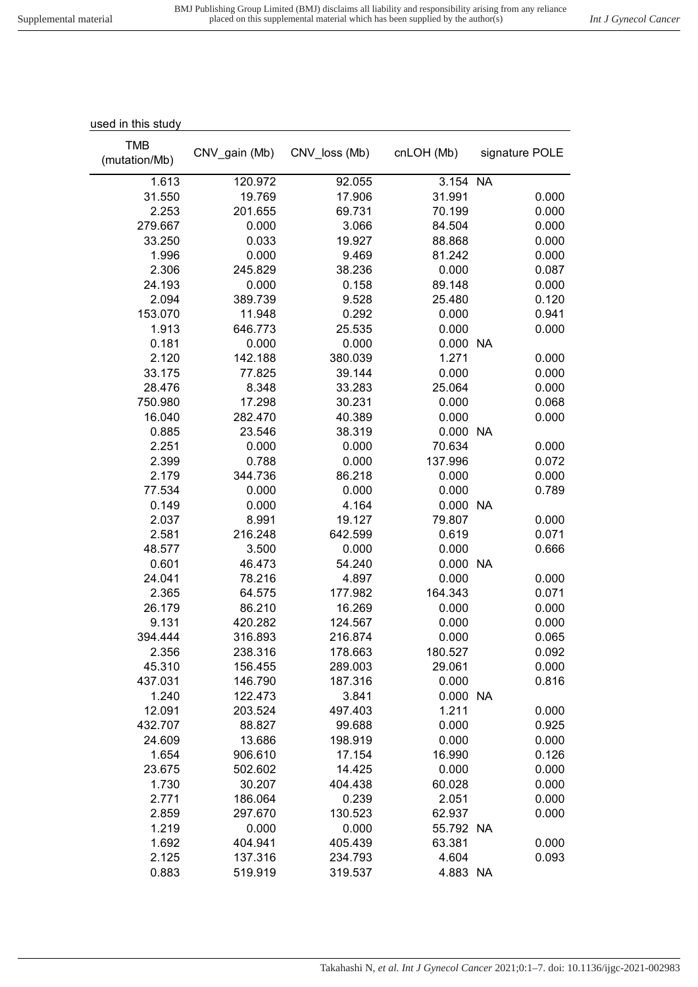| used in this study          |                    |                    |                   |                |
|-----------------------------|--------------------|--------------------|-------------------|----------------|
| <b>TMB</b><br>(mutation/Mb) | CNV_gain (Mb)      | CNV loss (Mb)      | cnLOH (Mb)        | signature POLE |
| 1.613                       | 120.972            | 92.055             | 3.154 NA          |                |
| 31.550                      | 19.769             | 17.906             | 31.991            | 0.000          |
| 2.253                       | 201.655            | 69.731             | 70.199            | 0.000          |
| 279.667                     | 0.000              | 3.066              | 84.504            | 0.000          |
| 33.250                      | 0.033              | 19.927             | 88.868            | 0.000          |
| 1.996                       | 0.000              | 9.469              | 81.242            | 0.000          |
| 2.306                       | 245.829            | 38.236             | 0.000             | 0.087          |
| 24.193                      | 0.000              | 0.158              | 89.148            | 0.000          |
| 2.094                       | 389.739            | 9.528              | 25.480            | 0.120          |
| 153.070                     | 11.948             | 0.292              | 0.000             | 0.941          |
| 1.913                       | 646.773            | 25.535             | 0.000             | 0.000          |
| 0.181                       | 0.000              | 0.000              | 0.000 NA          |                |
| 2.120                       | 142.188            | 380.039            | 1.271             | 0.000          |
| 33.175                      | 77.825             | 39.144             | 0.000             | 0.000          |
| 28.476                      | 8.348              | 33.283             | 25.064            | 0.000          |
| 750.980                     | 17.298             | 30.231             | 0.000             | 0.068          |
| 16.040                      | 282.470            | 40.389             | 0.000             | 0.000          |
| 0.885                       | 23.546             | 38.319             | 0.000 NA          |                |
| 2.251                       | 0.000              | 0.000              | 70.634            | 0.000          |
| 2.399                       | 0.788              | 0.000              | 137.996           | 0.072          |
| 2.179                       | 344.736            | 86.218             | 0.000             | 0.000          |
| 77.534                      | 0.000              | 0.000              | 0.000             | 0.789          |
| 0.149                       | 0.000              | 4.164              | 0.000 NA          |                |
| 2.037                       | 8.991              | 19.127             | 79.807            | 0.000          |
| 2.581                       | 216.248            | 642.599            | 0.619             | 0.071          |
| 48.577                      | 3.500              | 0.000              | 0.000             | 0.666          |
| 0.601                       | 46.473             | 54.240             | 0.000             | <b>NA</b>      |
| 24.041                      | 78.216             | 4.897              | 0.000             | 0.000          |
| 2.365                       | 64.575             | 177.982            | 164.343           | 0.071          |
| 26.179                      | 86.210             | 16.269             | 0.000             | 0.000          |
| 9.131                       | 420.282            | 124.567            | 0.000             | 0.000          |
| 394.444                     | 316.893            | 216.874            | 0.000             | 0.065          |
| 2.356                       | 238.316            | 178.663            | 180.527           | 0.092          |
| 45.310                      | 156.455            | 289.003            | 29.061            | 0.000          |
| 437.031                     | 146.790            | 187.316            | 0.000             | 0.816          |
| 1.240                       | 122.473            | 3.841              | 0.000 NA          |                |
| 12.091                      | 203.524            | 497.403            | 1.211             | 0.000          |
| 432.707                     | 88.827             | 99.688             | 0.000             | 0.925          |
| 24.609                      | 13.686             | 198.919            | 0.000             | 0.000          |
| 1.654                       | 906.610            | 17.154             | 16.990            | 0.126          |
| 23.675                      | 502.602            | 14.425             | 0.000             | 0.000          |
| 1.730                       | 30.207             | 404.438            | 60.028            | 0.000          |
| 2.771                       | 186.064            | 0.239              | 2.051             | 0.000          |
| 2.859                       | 297.670            | 130.523            | 62.937            | 0.000          |
| 1.219                       | 0.000              | 0.000              | 55.792 NA         |                |
| 1.692                       | 404.941            | 405.439            | 63.381            | 0.000          |
| 2.125<br>0.883              | 137.316<br>519.919 | 234.793<br>319.537 | 4.604<br>4.883 NA | 0.093          |
|                             |                    |                    |                   |                |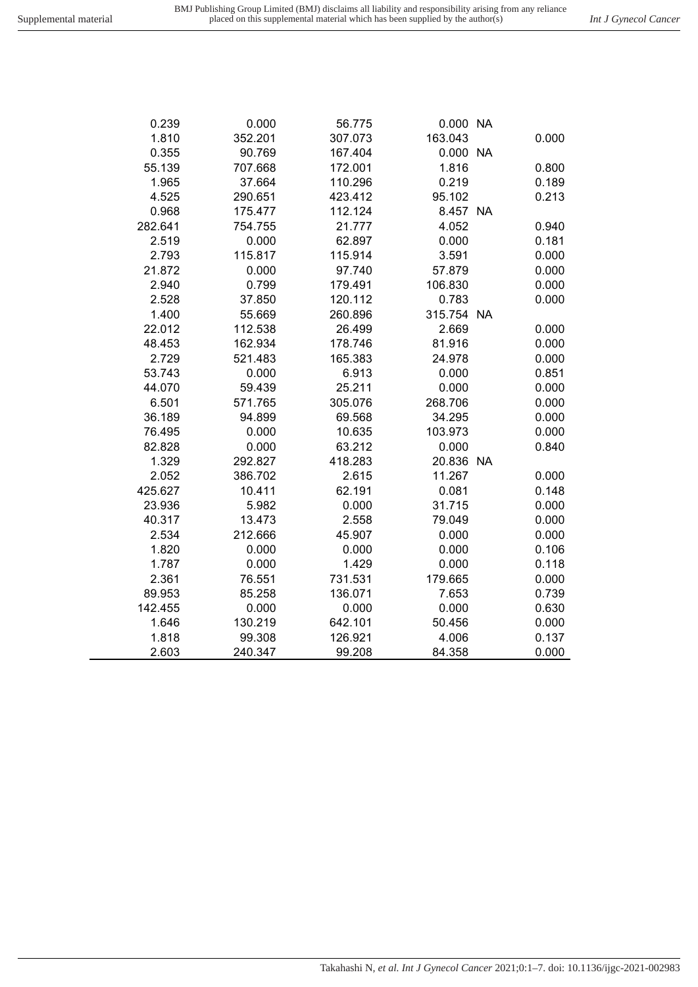| 0.239   | 0.000   | 56.775  | 0.000 NA   |       |
|---------|---------|---------|------------|-------|
| 1.810   | 352.201 | 307.073 | 163.043    | 0.000 |
| 0.355   | 90.769  | 167.404 | 0.000 NA   |       |
| 55.139  | 707.668 | 172.001 | 1.816      | 0.800 |
| 1.965   | 37.664  | 110.296 | 0.219      | 0.189 |
| 4.525   | 290.651 | 423.412 | 95.102     | 0.213 |
| 0.968   | 175.477 | 112.124 | 8.457 NA   |       |
| 282.641 | 754.755 | 21.777  | 4.052      | 0.940 |
| 2.519   | 0.000   | 62.897  | 0.000      | 0.181 |
| 2.793   | 115.817 | 115.914 | 3.591      | 0.000 |
| 21.872  | 0.000   | 97.740  | 57.879     | 0.000 |
| 2.940   | 0.799   | 179.491 | 106.830    | 0.000 |
| 2.528   | 37.850  | 120.112 | 0.783      | 0.000 |
| 1.400   | 55.669  | 260.896 | 315.754 NA |       |
| 22.012  | 112.538 | 26.499  | 2.669      | 0.000 |
| 48.453  | 162.934 | 178.746 | 81.916     | 0.000 |
| 2.729   | 521.483 | 165.383 | 24.978     | 0.000 |
| 53.743  | 0.000   | 6.913   | 0.000      | 0.851 |
| 44.070  | 59.439  | 25.211  | 0.000      | 0.000 |
| 6.501   | 571.765 | 305.076 | 268.706    | 0.000 |
| 36.189  | 94.899  | 69.568  | 34.295     | 0.000 |
| 76.495  | 0.000   | 10.635  | 103.973    | 0.000 |
| 82.828  | 0.000   | 63.212  | 0.000      | 0.840 |
| 1.329   | 292.827 | 418.283 | 20.836 NA  |       |
| 2.052   | 386.702 | 2.615   | 11.267     | 0.000 |
| 425.627 | 10.411  | 62.191  | 0.081      | 0.148 |
| 23.936  | 5.982   | 0.000   | 31.715     | 0.000 |
| 40.317  | 13.473  | 2.558   | 79.049     | 0.000 |
| 2.534   | 212.666 | 45.907  | 0.000      | 0.000 |
| 1.820   | 0.000   | 0.000   | 0.000      | 0.106 |
| 1.787   | 0.000   | 1.429   | 0.000      | 0.118 |
| 2.361   | 76.551  | 731.531 | 179.665    | 0.000 |
| 89.953  | 85.258  | 136.071 | 7.653      | 0.739 |
| 142.455 | 0.000   | 0.000   | 0.000      | 0.630 |
| 1.646   | 130.219 | 642.101 | 50.456     | 0.000 |
| 1.818   | 99.308  | 126.921 | 4.006      | 0.137 |
| 2.603   | 240.347 | 99.208  | 84.358     | 0.000 |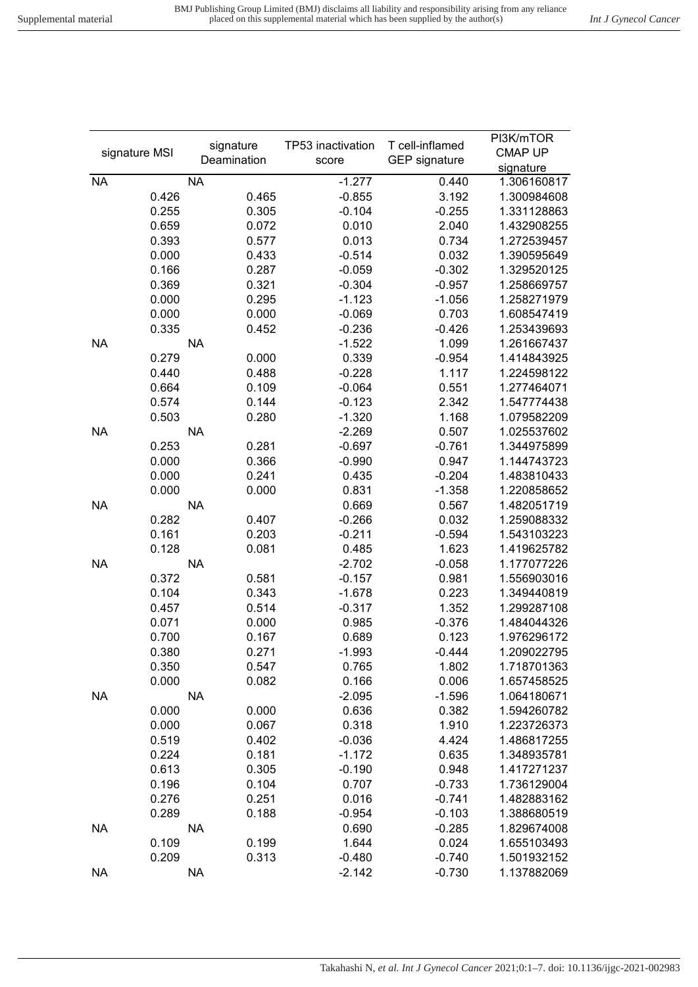|           |               | signature   |       | TP53 inactivation | T cell-inflamed      | PI3K/mTOR      |
|-----------|---------------|-------------|-------|-------------------|----------------------|----------------|
|           | signature MSI | Deamination |       |                   | <b>GEP</b> signature | <b>CMAP UP</b> |
|           |               |             |       | score             |                      | signature      |
| <b>NA</b> |               | <b>NA</b>   |       | $-1.277$          | 0.440                | 1.306160817    |
|           | 0.426         |             | 0.465 | $-0.855$          | 3.192                | 1.300984608    |
|           | 0.255         |             | 0.305 | $-0.104$          | $-0.255$             | 1.331128863    |
|           | 0.659         |             | 0.072 | 0.010             | 2.040                | 1.432908255    |
|           | 0.393         |             | 0.577 | 0.013             | 0.734                | 1.272539457    |
|           | 0.000         |             | 0.433 | $-0.514$          | 0.032                | 1.390595649    |
|           | 0.166         |             | 0.287 | $-0.059$          | $-0.302$             | 1.329520125    |
|           | 0.369         |             | 0.321 | $-0.304$          | $-0.957$             | 1.258669757    |
|           | 0.000         |             | 0.295 | $-1.123$          | $-1.056$             | 1.258271979    |
|           | 0.000         |             | 0.000 | $-0.069$          | 0.703                | 1.608547419    |
|           | 0.335         |             | 0.452 | $-0.236$          | $-0.426$             | 1.253439693    |
| <b>NA</b> |               | <b>NA</b>   |       | $-1.522$          | 1.099                | 1.261667437    |
|           | 0.279         |             | 0.000 | 0.339             | $-0.954$             | 1.414843925    |
|           | 0.440         |             | 0.488 | $-0.228$          | 1.117                | 1.224598122    |
|           | 0.664         |             | 0.109 | $-0.064$          | 0.551                | 1.277464071    |
|           | 0.574         |             | 0.144 | $-0.123$          | 2.342                | 1.547774438    |
|           | 0.503         |             | 0.280 | $-1.320$          | 1.168                | 1.079582209    |
| <b>NA</b> |               | <b>NA</b>   |       | $-2.269$          | 0.507                | 1.025537602    |
|           | 0.253         |             | 0.281 | $-0.697$          | $-0.761$             | 1.344975899    |
|           | 0.000         |             | 0.366 | $-0.990$          | 0.947                | 1.144743723    |
|           | 0.000         |             | 0.241 | 0.435             | $-0.204$             | 1.483810433    |
|           | 0.000         |             | 0.000 | 0.831             | $-1.358$             | 1.220858652    |
| <b>NA</b> |               | <b>NA</b>   |       | 0.669             | 0.567                | 1.482051719    |
|           | 0.282         |             | 0.407 | $-0.266$          | 0.032                | 1.259088332    |
|           | 0.161         |             | 0.203 | $-0.211$          | $-0.594$             | 1.543103223    |
|           | 0.128         |             | 0.081 | 0.485             | 1.623                | 1.419625782    |
| <b>NA</b> |               | <b>NA</b>   |       | $-2.702$          | $-0.058$             | 1.177077226    |
|           | 0.372         |             | 0.581 | $-0.157$          | 0.981                | 1.556903016    |
|           | 0.104         |             | 0.343 | $-1.678$          | 0.223                | 1.349440819    |
|           | 0.457         |             | 0.514 | $-0.317$          | 1.352                | 1.299287108    |
|           | 0.071         |             | 0.000 | 0.985             | $-0.376$             | 1.484044326    |
|           | 0.700         |             | 0.167 | 0.689             | 0.123                | 1.976296172    |
|           | 0.380         |             | 0.271 | $-1.993$          | $-0.444$             | 1.209022795    |
|           | 0.350         |             | 0.547 | 0.765             | 1.802                | 1.718701363    |
|           | 0.000         |             | 0.082 | 0.166             | 0.006                | 1.657458525    |
| <b>NA</b> |               | <b>NA</b>   |       | $-2.095$          | $-1.596$             | 1.064180671    |
|           |               |             | 0.000 |                   | 0.382                | 1.594260782    |
|           | 0.000         |             |       | 0.636             |                      |                |
|           | 0.000         |             | 0.067 | 0.318             | 1.910                | 1.223726373    |
|           | 0.519         |             | 0.402 | $-0.036$          | 4.424                | 1.486817255    |
|           | 0.224         |             | 0.181 | $-1.172$          | 0.635                | 1.348935781    |
|           | 0.613         |             | 0.305 | $-0.190$          | 0.948                | 1.417271237    |
|           | 0.196         |             | 0.104 | 0.707             | $-0.733$             | 1.736129004    |
|           | 0.276         |             | 0.251 | 0.016             | $-0.741$             | 1.482883162    |
|           | 0.289         |             | 0.188 | $-0.954$          | $-0.103$             | 1.388680519    |
| <b>NA</b> |               | <b>NA</b>   |       | 0.690             | $-0.285$             | 1.829674008    |
|           | 0.109         |             | 0.199 | 1.644             | 0.024                | 1.655103493    |
|           | 0.209         |             | 0.313 | $-0.480$          | $-0.740$             | 1.501932152    |
| <b>NA</b> |               | <b>NA</b>   |       | $-2.142$          | $-0.730$             | 1.137882069    |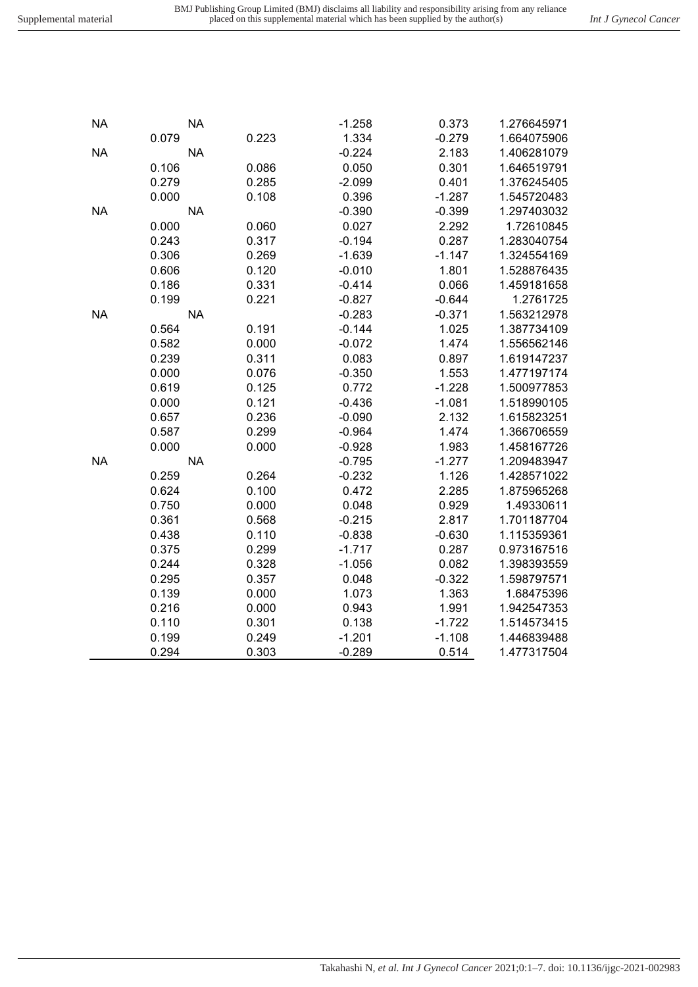Takahashi N*, et al. Int J Gynecol Cancer* 2021;0:1–7. doi: 10.1136/ijgc-2021-002983

| <b>NA</b> | <b>NA</b> |       | $-0.390$ | $-0.399$ | 1.297403032 |
|-----------|-----------|-------|----------|----------|-------------|
|           | 0.000     | 0.060 | 0.027    | 2.292    | 1.72610845  |
|           | 0.243     | 0.317 | $-0.194$ | 0.287    | 1.283040754 |
|           | 0.306     | 0.269 | $-1.639$ | $-1.147$ | 1.324554169 |
|           | 0.606     | 0.120 | $-0.010$ | 1.801    | 1.528876435 |
|           | 0.186     | 0.331 | $-0.414$ | 0.066    | 1.459181658 |
|           | 0.199     | 0.221 | $-0.827$ | $-0.644$ | 1.2761725   |
| <b>NA</b> | <b>NA</b> |       | $-0.283$ | $-0.371$ | 1.563212978 |
|           | 0.564     | 0.191 | $-0.144$ | 1.025    | 1.387734109 |
|           | 0.582     | 0.000 | $-0.072$ | 1.474    | 1.556562146 |
|           | 0.239     | 0.311 | 0.083    | 0.897    | 1.619147237 |
|           | 0.000     | 0.076 | $-0.350$ | 1.553    | 1.477197174 |
|           | 0.619     | 0.125 | 0.772    | $-1.228$ | 1.500977853 |
|           | 0.000     | 0.121 | $-0.436$ | $-1.081$ | 1.518990105 |
|           | 0.657     | 0.236 | $-0.090$ | 2.132    | 1.615823251 |
|           | 0.587     | 0.299 | $-0.964$ | 1.474    | 1.366706559 |
|           | 0.000     | 0.000 | $-0.928$ | 1.983    | 1.458167726 |
| <b>NA</b> | <b>NA</b> |       | $-0.795$ | $-1.277$ | 1.209483947 |
|           | 0.259     | 0.264 | $-0.232$ | 1.126    | 1.428571022 |
|           | 0.624     | 0.100 | 0.472    | 2.285    | 1.875965268 |
|           | 0.750     | 0.000 | 0.048    | 0.929    | 1.49330611  |
|           | 0.361     | 0.568 | $-0.215$ | 2.817    | 1.701187704 |
|           | 0.438     | 0.110 | $-0.838$ | $-0.630$ | 1.115359361 |
|           | 0.375     | 0.299 | $-1.717$ | 0.287    | 0.973167516 |
|           | 0.244     | 0.328 | $-1.056$ | 0.082    | 1.398393559 |
|           | 0.295     | 0.357 | 0.048    | $-0.322$ | 1.598797571 |
|           | 0.139     | 0.000 | 1.073    | 1.363    | 1.68475396  |
|           | 0.216     | 0.000 | 0.943    | 1.991    | 1.942547353 |
|           | 0.110     | 0.301 | 0.138    | $-1.722$ | 1.514573415 |
|           | 0.199     | 0.249 | $-1.201$ | $-1.108$ | 1.446839488 |
|           | 0.294     | 0.303 | $-0.289$ | 0.514    | 1.477317504 |

0.079 0.223 1.334 -0.279 1.664075906

0.106 0.086 0.050 0.301 1.646519791 0.279 0.285 -2.099 0.401 1.376245405 0.000 0.108 0.396 -1.287 1.545720483

NA NA -1.258 0.373 1.276645971

NA NA -0.224 2.183 1.406281079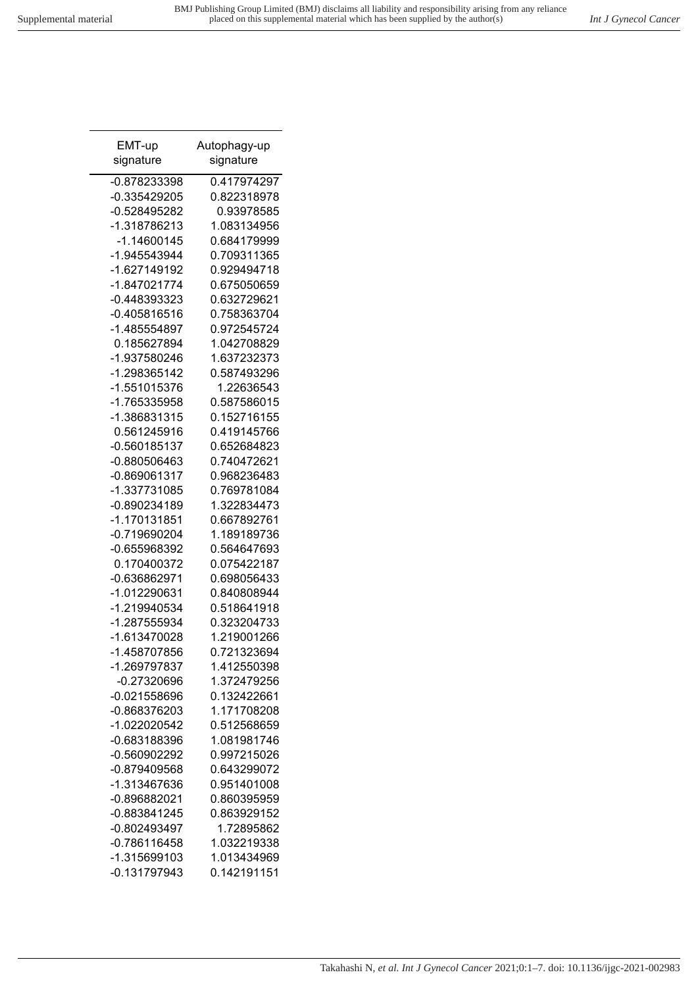| EMT-up                      | Autophagy-up               |
|-----------------------------|----------------------------|
| signature                   | signature                  |
| -0.878233398                | 0.417974297                |
| -0.335429205                | 0.822318978                |
| -0.528495282                | 0.93978585                 |
| -1.318786213                | 1.083134956                |
| -1.14600145                 | 0.684179999                |
| -1.945543944                | 0.709311365                |
| -1.627149192                | 0.929494718                |
| -1.847021774                | 0.675050659                |
| -0.448393323                | 0.632729621                |
| $-0.405816516$              | 0.758363704                |
| -1.485554897                | 0.972545724                |
| 0.185627894                 | 1.042708829                |
| -1.937580246                | 1.637232373                |
| -1.298365142                | 0.587493296                |
| -1.551015376                | 1.22636543                 |
| -1.765335958                | 0.587586015                |
| -1.386831315                | 0.152716155                |
| 0.561245916                 | 0.419145766                |
| -0.560185137                | 0.652684823                |
| -0.880506463                | 0.740472621                |
| -0.869061317                | 0.968236483                |
| -1.337731085                | 0.769781084                |
| -0.890234189                | 1.322834473                |
| -1.170131851                | 0.667892761                |
| -0.719690204                | 1.189189736                |
| -0.655968392<br>0.170400372 | 0.564647693<br>0.075422187 |
| -0.636862971                | 0.698056433                |
| -1.012290631                | 0.840808944                |
| -1.219940534                | 0.518641918                |
| -1.287555934                | 0.323204733                |
| -1.613470028                | 1.219001266                |
| -1.458707856                | 0.721323694                |
| -1.269797837                | 1.412550398                |
| $-0.27320696$               | 1.372479256                |
| $-0.021558696$              | 0.132422661                |
| -0.868376203                | 1.171708208                |
| -1.022020542                | 0.512568659                |
| -0.683188396                | 1.081981746                |
| -0.560902292                | 0.997215026                |
| -0.879409568                | 0.643299072                |
| -1.313467636                | 0.951401008                |
| -0.896882021                | 0.860395959                |
| -0.883841245                | 0.863929152                |
| -0.802493497                | 1.72895862                 |
| $-0.786116458$              | 1.032219338                |
| -1.315699103                | 1.013434969                |
| $-0.131797943$              | 0.142191151                |
|                             |                            |